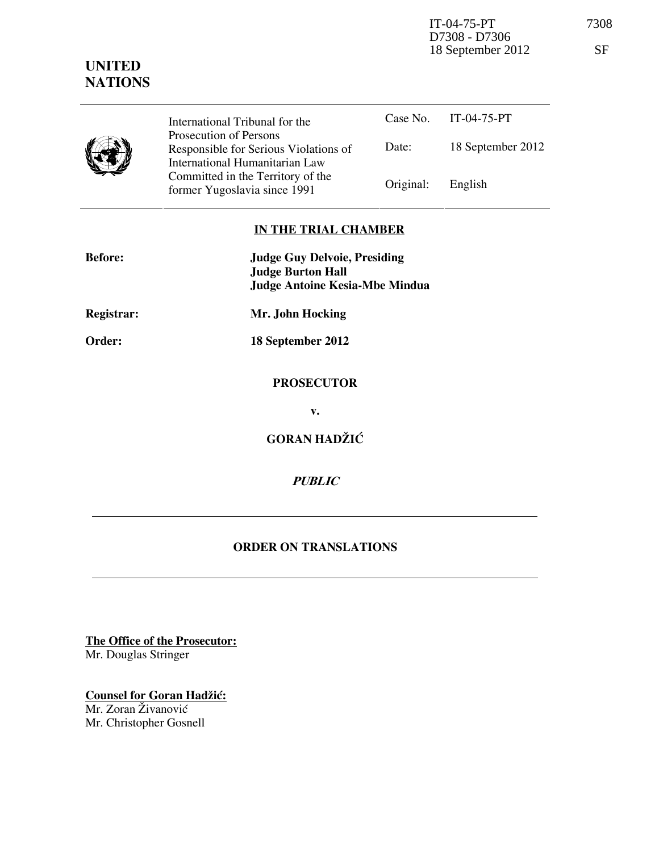IT-04-75-PT 7308 D7308 - D7306 18 September 2012 SF

## **UNITED NATIONS**

|   | International Tribunal for the                                                                    |           | Case No. IT-04-75-PT |
|---|---------------------------------------------------------------------------------------------------|-----------|----------------------|
| J | Prosecution of Persons<br>Responsible for Serious Violations of<br>International Humanitarian Law | Date:     | 18 September 2012    |
|   | Committed in the Territory of the<br>former Yugoslavia since 1991                                 | Original: | English              |

## **IN THE TRIAL CHAMBER**

| <b>Before:</b>    | <b>Judge Guy Delvoie, Presiding</b><br><b>Judge Burton Hall</b><br><b>Judge Antoine Kesia-Mbe Mindua</b> |
|-------------------|----------------------------------------------------------------------------------------------------------|
| <b>Registrar:</b> | Mr. John Hocking                                                                                         |
| Order:            | 18 September 2012                                                                                        |
|                   | <b>PROSECUTOR</b><br>v.                                                                                  |
|                   | <b>GORAN HADŽIĆ</b>                                                                                      |
|                   | <b>PUBLIC</b>                                                                                            |

## **ORDER ON TRANSLATIONS**

**The Office of the Prosecutor:**

Mr. Douglas Stringer

**Counsel for Goran Hadžić:** Mr. Zoran Živanović

Mr. Christopher Gosnell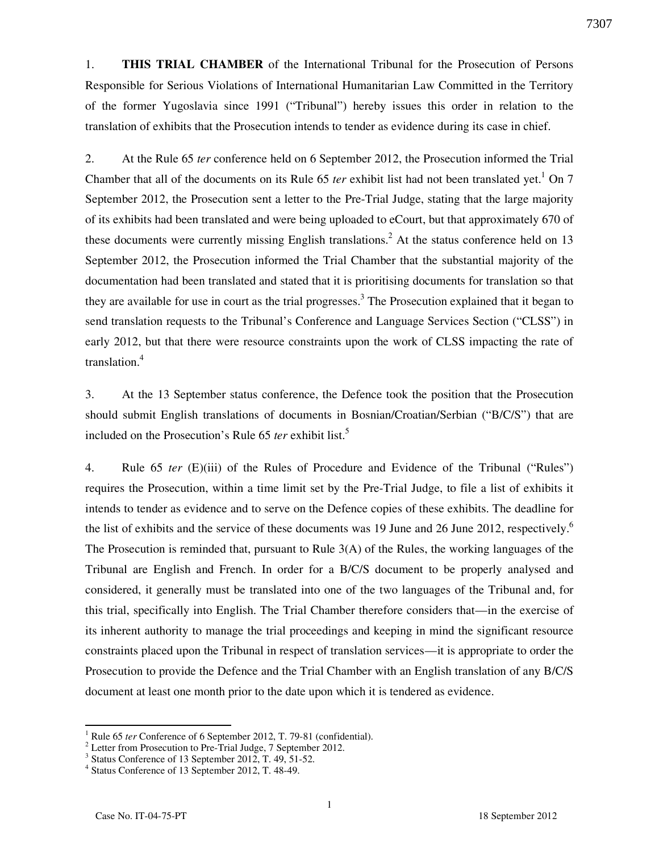1. **THIS TRIAL CHAMBER** of the International Tribunal for the Prosecution of Persons Responsible for Serious Violations of International Humanitarian Law Committed in the Territory of the former Yugoslavia since 1991 ("Tribunal") hereby issues this order in relation to the translation of exhibits that the Prosecution intends to tender as evidence during its case in chief.

2. At the Rule 65 *ter* conference held on 6 September 2012, the Prosecution informed the Trial Chamber that all of the documents on its Rule  $65$  *ter* exhibit list had not been translated yet.<sup>1</sup> On 7 September 2012, the Prosecution sent a letter to the Pre-Trial Judge, stating that the large majority of its exhibits had been translated and were being uploaded to eCourt, but that approximately 670 of these documents were currently missing English translations.<sup>2</sup> At the status conference held on 13 September 2012, the Prosecution informed the Trial Chamber that the substantial majority of the documentation had been translated and stated that it is prioritising documents for translation so that they are available for use in court as the trial progresses.<sup>3</sup> The Prosecution explained that it began to send translation requests to the Tribunal's Conference and Language Services Section ("CLSS") in early 2012, but that there were resource constraints upon the work of CLSS impacting the rate of translation.<sup>4</sup>

3. At the 13 September status conference, the Defence took the position that the Prosecution should submit English translations of documents in Bosnian/Croatian/Serbian ("B/C/S") that are included on the Prosecution's Rule 65 *ter* exhibit list.<sup>5</sup>

4. Rule 65 *ter* (E)(iii) of the Rules of Procedure and Evidence of the Tribunal ("Rules") requires the Prosecution, within a time limit set by the Pre-Trial Judge, to file a list of exhibits it intends to tender as evidence and to serve on the Defence copies of these exhibits. The deadline for the list of exhibits and the service of these documents was 19 June and 26 June 2012, respectively.<sup>6</sup> The Prosecution is reminded that, pursuant to Rule 3(A) of the Rules, the working languages of the Tribunal are English and French. In order for a B/C/S document to be properly analysed and considered, it generally must be translated into one of the two languages of the Tribunal and, for this trial, specifically into English. The Trial Chamber therefore considers that—in the exercise of its inherent authority to manage the trial proceedings and keeping in mind the significant resource constraints placed upon the Tribunal in respect of translation services—it is appropriate to order the Prosecution to provide the Defence and the Trial Chamber with an English translation of any B/C/S document at least one month prior to the date upon which it is tendered as evidence.

 $\overline{a}$ 

<sup>1</sup> Rule 65 *ter* Conference of 6 September 2012, T. 79-81 (confidential).

<sup>&</sup>lt;sup>2</sup> Letter from Prosecution to Pre-Trial Judge, 7 September 2012.

<sup>&</sup>lt;sup>3</sup> Status Conference of 13 September 2012, T. 49, 51-52.

<sup>4</sup> Status Conference of 13 September 2012, T. 48-49.